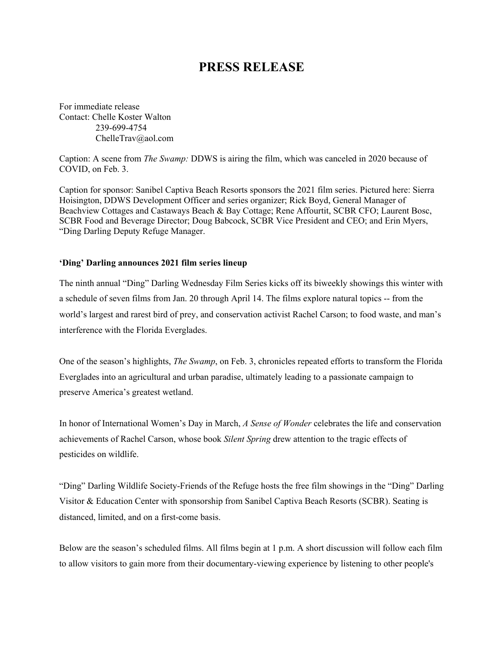## **PRESS RELEASE**

For immediate release Contact: Chelle Koster Walton 239-699-4754 [ChelleTrav@aol.com](mailto:ChelleTrav@aol.com)

Caption: A scene from *The Swamp:* DDWS is airing the film, which was canceled in 2020 because of COVID, on Feb. 3.

Caption for sponsor: Sanibel Captiva Beach Resorts sponsors the 2021 film series. Pictured here: Sierra Hoisington, DDWS Development Officer and series organizer; Rick Boyd, General Manager of Beachview Cottages and Castaways Beach & Bay Cottage; Rene Affourtit, SCBR CFO; Laurent Bosc, SCBR Food and Beverage Director; Doug Babcock, SCBR Vice President and CEO; and Erin Myers, "Ding Darling Deputy Refuge Manager.

## **'Ding' Darling announces 2021 film series lineup**

The ninth annual "Ding" Darling Wednesday Film Series kicks off its biweekly showings this winter with a schedule of seven films from Jan. 20 through April 14. The films explore natural topics -- from the world's largest and rarest bird of prey, and conservation activist Rachel Carson; to food waste, and man's interference with the Florida Everglades.

One of the season's highlights, *The Swamp*, on Feb. 3, chronicles repeated efforts to transform the Florida Everglades into an agricultural and urban paradise, ultimately leading to a passionate campaign to preserve America's greatest wetland.

In honor of International Women's Day in March, *A Sense of Wonder* celebrates the life and conservation achievements of Rachel Carson, whose book *Silent Spring* drew attention to the tragic effects of pesticides on wildlife.

"Ding" Darling Wildlife Society-Friends of the Refuge hosts the free film showings in the "Ding" Darling Visitor & Education Center with sponsorship from Sanibel Captiva Beach Resorts (SCBR). Seating is distanced, limited, and on a first-come basis.

Below are the season's scheduled films. All films begin at 1 p.m. A short discussion will follow each film to allow visitors to gain more from their documentary-viewing experience by listening to other people's